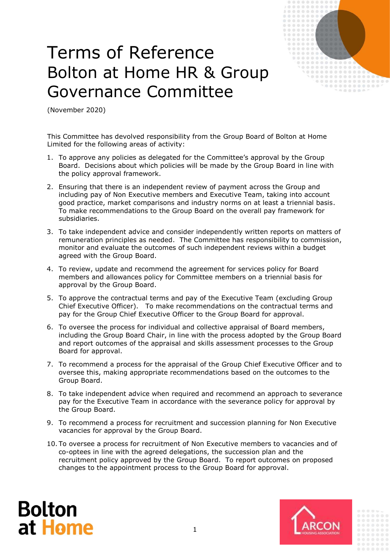

## Terms of Reference Bolton at Home HR & Group Governance Committee

(November 2020)

This Committee has devolved responsibility from the Group Board of Bolton at Home Limited for the following areas of activity:

- 1. To approve any policies as delegated for the Committee's approval by the Group Board. Decisions about which policies will be made by the Group Board in line with the policy approval framework.
- 2. Ensuring that there is an independent review of payment across the Group and including pay of Non Executive members and Executive Team, taking into account good practice, market comparisons and industry norms on at least a triennial basis. To make recommendations to the Group Board on the overall pay framework for subsidiaries.
- 3. To take independent advice and consider independently written reports on matters of remuneration principles as needed. The Committee has responsibility to commission, monitor and evaluate the outcomes of such independent reviews within a budget agreed with the Group Board.
- 4. To review, update and recommend the agreement for services policy for Board members and allowances policy for Committee members on a triennial basis for approval by the Group Board.
- 5. To approve the contractual terms and pay of the Executive Team (excluding Group Chief Executive Officer). To make recommendations on the contractual terms and pay for the Group Chief Executive Officer to the Group Board for approval.
- 6. To oversee the process for individual and collective appraisal of Board members, including the Group Board Chair, in line with the process adopted by the Group Board and report outcomes of the appraisal and skills assessment processes to the Group Board for approval.
- 7. To recommend a process for the appraisal of the Group Chief Executive Officer and to oversee this, making appropriate recommendations based on the outcomes to the Group Board.
- 8. To take independent advice when required and recommend an approach to severance pay for the Executive Team in accordance with the severance policy for approval by the Group Board.
- 9. To recommend a process for recruitment and succession planning for Non Executive vacancies for approval by the Group Board.
- 10. To oversee a process for recruitment of Non Executive members to vacancies and of co-optees in line with the agreed delegations, the succession plan and the recruitment policy approved by the Group Board. To report outcomes on proposed changes to the appointment process to the Group Board for approval.



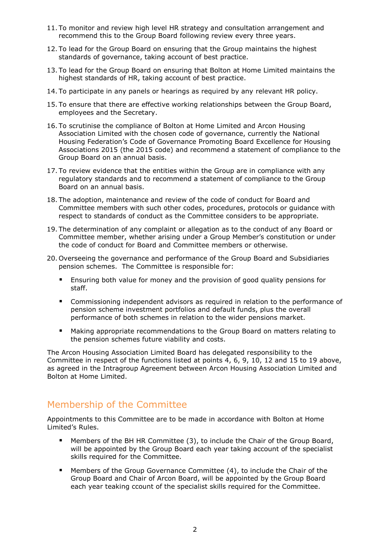- 11. To monitor and review high level HR strategy and consultation arrangement and recommend this to the Group Board following review every three years.
- 12. To lead for the Group Board on ensuring that the Group maintains the highest standards of governance, taking account of best practice.
- 13. To lead for the Group Board on ensuring that Bolton at Home Limited maintains the highest standards of HR, taking account of best practice.
- 14. To participate in any panels or hearings as required by any relevant HR policy.
- 15. To ensure that there are effective working relationships between the Group Board, employees and the Secretary.
- 16. To scrutinise the compliance of Bolton at Home Limited and Arcon Housing Association Limited with the chosen code of governance, currently the National Housing Federation's Code of Governance Promoting Board Excellence for Housing Associations 2015 (the 2015 code) and recommend a statement of compliance to the Group Board on an annual basis.
- 17. To review evidence that the entities within the Group are in compliance with any regulatory standards and to recommend a statement of compliance to the Group Board on an annual basis.
- 18. The adoption, maintenance and review of the code of conduct for Board and Committee members with such other codes, procedures, protocols or guidance with respect to standards of conduct as the Committee considers to be appropriate.
- 19. The determination of any complaint or allegation as to the conduct of any Board or Committee member, whether arising under a Group Member's constitution or under the code of conduct for Board and Committee members or otherwise.
- 20. Overseeing the governance and performance of the Group Board and Subsidiaries pension schemes. The Committee is responsible for:
	- Ensuring both value for money and the provision of good quality pensions for staff.
	- Commissioning independent advisors as required in relation to the performance of pension scheme investment portfolios and default funds, plus the overall performance of both schemes in relation to the wider pensions market.
	- Making appropriate recommendations to the Group Board on matters relating to the pension schemes future viability and costs.

The Arcon Housing Association Limited Board has delegated responsibility to the Committee in respect of the functions listed at points 4, 6, 9, 10, 12 and 15 to 19 above, as agreed in the Intragroup Agreement between Arcon Housing Association Limited and Bolton at Home Limited.

## Membership of the Committee

Appointments to this Committee are to be made in accordance with Bolton at Home Limited's Rules.

- Members of the BH HR Committee (3), to include the Chair of the Group Board, will be appointed by the Group Board each year taking account of the specialist skills required for the Committee.
- Members of the Group Governance Committee (4), to include the Chair of the Group Board and Chair of Arcon Board, will be appointed by the Group Board each year teaking ccount of the specialist skills required for the Committee.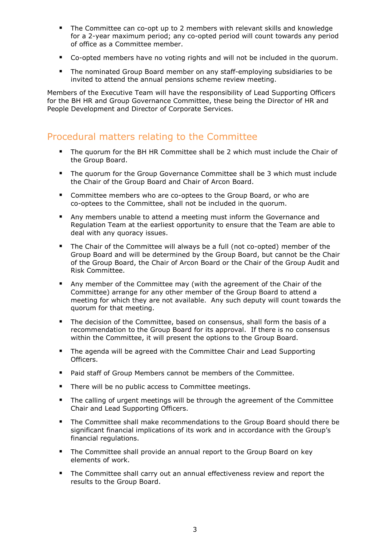- The Committee can co-opt up to 2 members with relevant skills and knowledge for a 2-year maximum period; any co-opted period will count towards any period of office as a Committee member.
- Co-opted members have no voting rights and will not be included in the quorum.
- The nominated Group Board member on any staff-employing subsidiaries to be invited to attend the annual pensions scheme review meeting.

Members of the Executive Team will have the responsibility of Lead Supporting Officers for the BH HR and Group Governance Committee, these being the Director of HR and People Development and Director of Corporate Services.

## Procedural matters relating to the Committee

- The quorum for the BH HR Committee shall be 2 which must include the Chair of the Group Board.
- **The quorum for the Group Governance Committee shall be 3 which must include** the Chair of the Group Board and Chair of Arcon Board.
- Committee members who are co-optees to the Group Board, or who are co-optees to the Committee, shall not be included in the quorum.
- Any members unable to attend a meeting must inform the Governance and Regulation Team at the earliest opportunity to ensure that the Team are able to deal with any quoracy issues.
- The Chair of the Committee will always be a full (not co-opted) member of the Group Board and will be determined by the Group Board, but cannot be the Chair of the Group Board, the Chair of Arcon Board or the Chair of the Group Audit and Risk Committee.
- Any member of the Committee may (with the agreement of the Chair of the Committee) arrange for any other member of the Group Board to attend a meeting for which they are not available. Any such deputy will count towards the quorum for that meeting.
- The decision of the Committee, based on consensus, shall form the basis of a recommendation to the Group Board for its approval. If there is no consensus within the Committee, it will present the options to the Group Board.
- The agenda will be agreed with the Committee Chair and Lead Supporting Officers.
- **Paid staff of Group Members cannot be members of the Committee.**
- There will be no public access to Committee meetings.
- The calling of urgent meetings will be through the agreement of the Committee Chair and Lead Supporting Officers.
- The Committee shall make recommendations to the Group Board should there be significant financial implications of its work and in accordance with the Group's financial regulations.
- The Committee shall provide an annual report to the Group Board on key elements of work.
- The Committee shall carry out an annual effectiveness review and report the results to the Group Board.